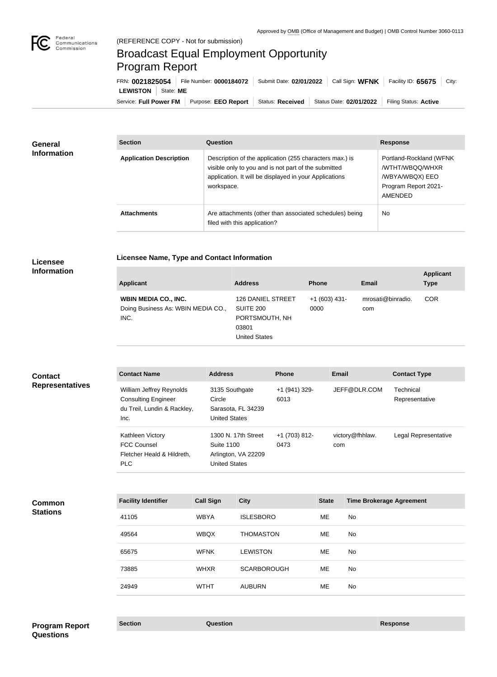

## Broadcast Equal Employment Opportunity Program Report

**Licensee Name, Type and Contact Information**

Service: Full Power FM Purpose: EEO Report | Status: Received | Status Date: 02/01/2022 | Filing Status: Active **LEWISTON** State: **ME** FRN: **0021825054** File Number: **0000184072** Submit Date: **02/01/2022** Call Sign: **WFNK** Facility ID: **65675** City:

| General<br><b>Information</b> | <b>Section</b>                 | Question                                                                                                                                                                                | <b>Response</b>                                                                                  |
|-------------------------------|--------------------------------|-----------------------------------------------------------------------------------------------------------------------------------------------------------------------------------------|--------------------------------------------------------------------------------------------------|
|                               | <b>Application Description</b> | Description of the application (255 characters max.) is<br>visible only to you and is not part of the submitted<br>application. It will be displayed in your Applications<br>workspace. | Portland-Rockland (WFNK<br>/WTHT/WBQQ/WHXR<br>/WBYA/WBQX) EEO<br>Program Report 2021-<br>AMENDED |
|                               | <b>Attachments</b>             | Are attachments (other than associated schedules) being<br>filed with this application?                                                                                                 | No                                                                                               |

## **Licensee Information**

| <b>Applicant</b>                                                          | <b>Address</b>                                                                    | <b>Phone</b>           | <b>Email</b>             | <b>Applicant</b><br><b>Type</b> |
|---------------------------------------------------------------------------|-----------------------------------------------------------------------------------|------------------------|--------------------------|---------------------------------|
| <b>WBIN MEDIA CO., INC.</b><br>Doing Business As: WBIN MEDIA CO.,<br>INC. | 126 DANIEL STREET<br><b>SUITE 200</b><br>PORTSMOUTH, NH<br>03801<br>United States | $+1(603)$ 431-<br>0000 | mrosati@binradio.<br>com | <b>COR</b>                      |

| <b>Contact</b><br><b>Representatives</b> | <b>Contact Name</b>                                                                           |                  | <b>Address</b>                                                                          | <b>Phone</b>          | <b>Email</b> |                                 | <b>Contact Type</b>         |
|------------------------------------------|-----------------------------------------------------------------------------------------------|------------------|-----------------------------------------------------------------------------------------|-----------------------|--------------|---------------------------------|-----------------------------|
|                                          | William Jeffrey Reynolds<br><b>Consulting Engineer</b><br>du Treil, Lundin & Rackley,<br>Inc. | Circle           | 3135 Southgate<br>Sarasota, FL 34239<br><b>United States</b>                            | +1 (941) 329-<br>6013 |              | JEFF@DLR.COM                    | Technical<br>Representative |
|                                          | Kathleen Victory<br><b>FCC Counsel</b><br>Fletcher Heald & Hildreth,<br><b>PLC</b>            |                  | 1300 N. 17th Street<br><b>Suite 1100</b><br>Arlington, VA 22209<br><b>United States</b> | +1 (703) 812-<br>0473 | com          | victory@fhhlaw.                 | Legal Representative        |
|                                          |                                                                                               |                  |                                                                                         |                       |              |                                 |                             |
| Common<br><b>Stations</b>                | <b>Facility Identifier</b>                                                                    | <b>Call Sign</b> | <b>City</b>                                                                             |                       | <b>State</b> | <b>Time Brokerage Agreement</b> |                             |
|                                          | 41105                                                                                         | <b>WBYA</b>      | <b>ISLESBORO</b>                                                                        |                       | ME           | No                              |                             |
|                                          | 10501                                                                                         | $\mathbf{M}$     | TUOM AOTOM                                                                              |                       | $\mathbf{A}$ | $\mathbf{A}$                    |                             |

| 49564 | <b>WBQX</b> | <b>THOMASTON</b>   | ME | No |
|-------|-------------|--------------------|----|----|
| 65675 | <b>WFNK</b> | <b>LEWISTON</b>    | ME | No |
| 73885 | <b>WHXR</b> | <b>SCARBOROUGH</b> | ME | No |
| 24949 | <b>WTHT</b> | <b>AUBURN</b>      | ME | No |
|       |             |                    |    |    |